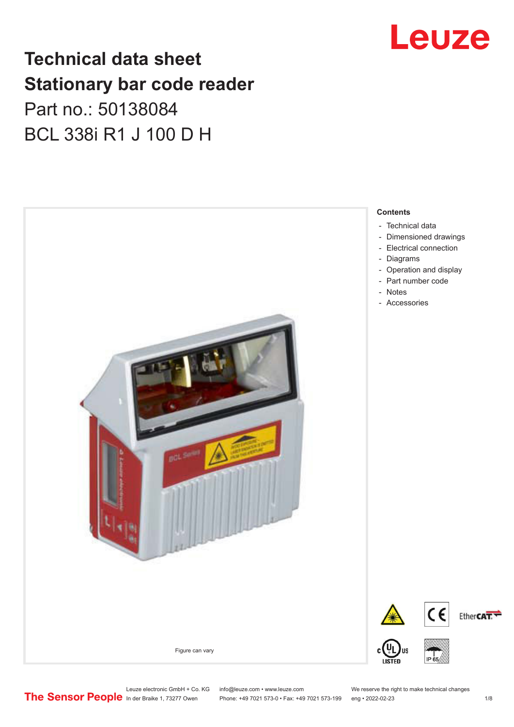### **Technical data sheet Stationary bar code reader** Part no.: 50138084 BCL 338i R1 J 100 D H



## Leuze

Leuze electronic GmbH + Co. KG info@leuze.com • www.leuze.com We reserve the right to make technical changes<br>
The Sensor People in der Braike 1, 73277 Owen Phone: +49 7021 573-0 • Fax: +49 7021 573-199 eng • 2022-02-23

Phone: +49 7021 573-0 • Fax: +49 7021 573-199 eng • 2022-02-23 1 /8



Ether**CAT.** 



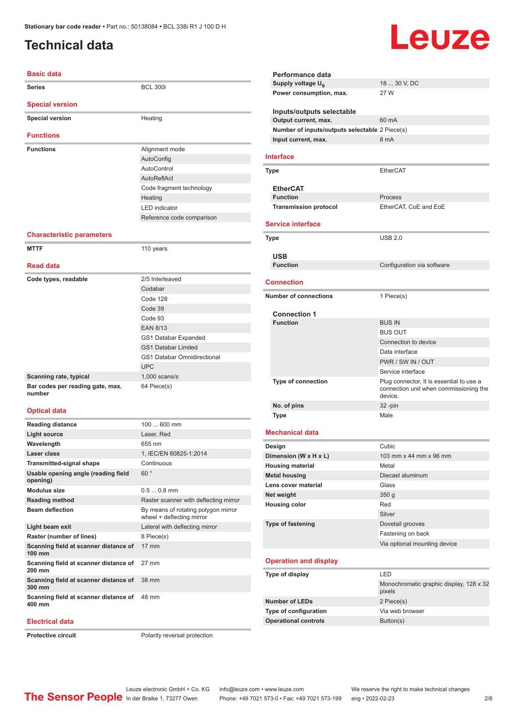### <span id="page-1-0"></span>**Technical data**

## Leuze

| <b>Basic data</b>                               |                                                                  |
|-------------------------------------------------|------------------------------------------------------------------|
| Series                                          | <b>BCL 300i</b>                                                  |
| <b>Special version</b>                          |                                                                  |
| <b>Special version</b>                          | Heating                                                          |
| <b>Functions</b>                                |                                                                  |
| <b>Functions</b>                                | Alignment mode                                                   |
|                                                 | AutoConfig                                                       |
|                                                 | AutoControl                                                      |
|                                                 | AutoReflAct                                                      |
|                                                 | Code fragment technology                                         |
|                                                 | Heating                                                          |
|                                                 | <b>LED</b> indicator                                             |
|                                                 | Reference code comparison                                        |
|                                                 |                                                                  |
| <b>Characteristic parameters</b>                |                                                                  |
| <b>MTTF</b>                                     | 110 years                                                        |
| <b>Read data</b>                                |                                                                  |
| Code types, readable                            | 2/5 Interleaved                                                  |
|                                                 | Codabar                                                          |
|                                                 | Code 128                                                         |
|                                                 | Code 39                                                          |
|                                                 | Code 93                                                          |
|                                                 | <b>EAN 8/13</b>                                                  |
|                                                 | GS1 Databar Expanded                                             |
|                                                 | <b>GS1 Databar Limited</b>                                       |
|                                                 | <b>GS1 Databar Omnidirectional</b>                               |
|                                                 | <b>UPC</b>                                                       |
| Scanning rate, typical                          | $1,000$ scans/s                                                  |
| Bar codes per reading gate, max.<br>number      | 64 Piece(s)                                                      |
| <b>Optical data</b>                             |                                                                  |
|                                                 |                                                                  |
| <b>Reading distance</b>                         | 100  600 mm                                                      |
| <b>Light source</b>                             | Laser, Red                                                       |
| Wavelength                                      | 655 nm                                                           |
| Laser class                                     | 1, IEC/EN 60825-1:2014                                           |
| <b>Transmitted-signal shape</b>                 | Continuous                                                       |
| Usable opening angle (reading field<br>opening) | 60°                                                              |
| <b>Modulus size</b>                             | $0.50.8$ mm                                                      |
| <b>Reading method</b>                           | Raster scanner with deflecting mirror                            |
| <b>Beam deflection</b>                          | By means of rotating polygon mirror<br>wheel + deflecting mirror |
| Light beam exit                                 | Lateral with deflecting mirror                                   |
| Raster (number of lines)                        | 8 Piece(s)                                                       |
| Scanning field at scanner distance of<br>100 mm | 17 mm                                                            |
| Scanning field at scanner distance of           | 27 mm                                                            |

| Performance data                               |                                                                                               |
|------------------------------------------------|-----------------------------------------------------------------------------------------------|
| Supply voltage U <sub>R</sub>                  | 18  30 V, DC                                                                                  |
| Power consumption, max.                        | 27 W                                                                                          |
| Inputs/outputs selectable                      |                                                                                               |
| Output current, max.                           | 60 mA                                                                                         |
| Number of inputs/outputs selectable 2 Piece(s) |                                                                                               |
| Input current, max.                            | 8 mA                                                                                          |
| Interface                                      |                                                                                               |
| Type                                           | EtherCAT                                                                                      |
|                                                |                                                                                               |
| <b>EtherCAT</b>                                |                                                                                               |
| <b>Function</b>                                | Process                                                                                       |
| <b>Transmission protocol</b>                   | EtherCAT, CoE and EoE                                                                         |
| <b>Service interface</b>                       |                                                                                               |
|                                                |                                                                                               |
| <b>Type</b>                                    | <b>USB 2.0</b>                                                                                |
|                                                |                                                                                               |
| <b>USB</b><br><b>Function</b>                  |                                                                                               |
|                                                | Configuration via software                                                                    |
| <b>Connection</b>                              |                                                                                               |
| <b>Number of connections</b>                   |                                                                                               |
|                                                | 1 Piece(s)                                                                                    |
| <b>Connection 1</b>                            |                                                                                               |
| <b>Function</b>                                | <b>BUS IN</b>                                                                                 |
|                                                | <b>BUS OUT</b>                                                                                |
|                                                | Connection to device                                                                          |
|                                                | Data interface                                                                                |
|                                                | PWR / SW IN / OUT                                                                             |
|                                                | Service interface                                                                             |
| Type of connection                             | Plug connector, It is essential to use a<br>connection unit when commissioning the<br>device. |
| No. of pins                                    | $32 - pin$                                                                                    |
| <b>Type</b>                                    | Male                                                                                          |
| <b>Mechanical data</b>                         |                                                                                               |
| Design                                         | Cubic                                                                                         |
| Dimension (W x H x L)                          | 103 mm x 44 mm x 96 mm                                                                        |
| <b>Housing material</b>                        | Metal                                                                                         |
| <b>Metal housing</b>                           | Diecast aluminum                                                                              |
| Lens cover material                            | Glass                                                                                         |
| Net weight                                     | 350 g                                                                                         |
| <b>Housing color</b>                           | Red                                                                                           |
|                                                | Silver                                                                                        |
| <b>Type of fastening</b>                       | Dovetail grooves                                                                              |
|                                                | Fastening on back                                                                             |
|                                                | Via optional mounting device                                                                  |
| <b>Operation and display</b>                   |                                                                                               |
| Type of display                                | LED                                                                                           |
|                                                | Monochromatic graphic display, 128 x 32                                                       |
|                                                | pixels                                                                                        |
| <b>Number of LEDs</b>                          | 2 Piece(s)                                                                                    |
| Type of configuration                          | Via web browser                                                                               |
|                                                |                                                                                               |
| <b>Operational controls</b>                    | Button(s)                                                                                     |

**Electrical data**

**200 mm**

**300 mm**

**400 mm**

**Protective circuit** Polarity reversal protection

48 mm

**Scanning field at scanner distance of**  38 mm

**Scanning field at scanner distance of**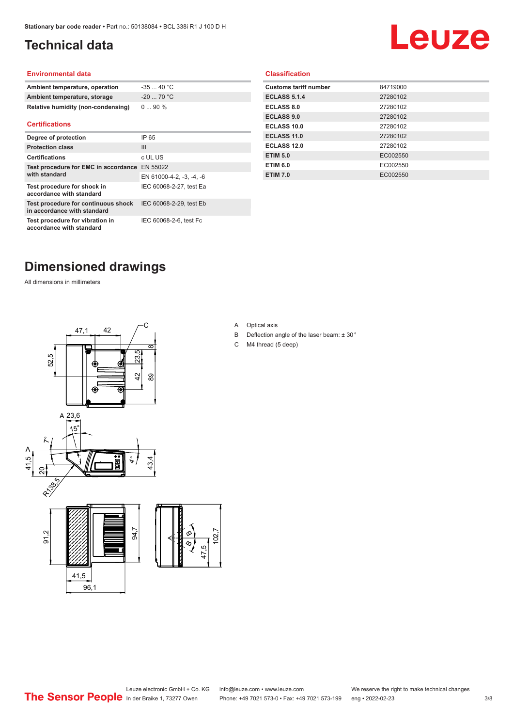### <span id="page-2-0"></span>**Technical data**

# Leuze

#### **Environmental data**

| Ambient temperature, operation     | $-3540 °C$  |
|------------------------------------|-------------|
| Ambient temperature, storage       | $-20$ 70 °C |
| Relative humidity (non-condensing) | $090\%$     |

#### **Certifications**

| Degree of protection                                               | IP 65                    |
|--------------------------------------------------------------------|--------------------------|
| <b>Protection class</b>                                            | $\mathbf{III}$           |
| <b>Certifications</b>                                              | c UL US                  |
| Test procedure for EMC in accordance EN 55022<br>with standard     |                          |
|                                                                    | EN 61000-4-2, -3, -4, -6 |
| Test procedure for shock in<br>accordance with standard            | IEC 60068-2-27, test Ea  |
| Test procedure for continuous shock<br>in accordance with standard | IEC 60068-2-29, test Eb  |
| Test procedure for vibration in<br>accordance with standard        | IEC 60068-2-6, test Fc   |

#### **Classification**

| <b>Customs tariff number</b> | 84719000 |
|------------------------------|----------|
| <b>ECLASS 5.1.4</b>          | 27280102 |
| ECLASS 8.0                   | 27280102 |
| <b>ECLASS 9.0</b>            | 27280102 |
| ECLASS 10.0                  | 27280102 |
| ECLASS 11.0                  | 27280102 |
| ECLASS 12.0                  | 27280102 |
| <b>ETIM 5.0</b>              | EC002550 |
| <b>ETIM 6.0</b>              | EC002550 |
| <b>ETIM 7.0</b>              | EC002550 |
|                              |          |

#### **Dimensioned drawings**

All dimensions in millimeters



A Optical axis

 $\overline{8}$ 

- B Deflection angle of the laser beam: ± 30 °
- C M4 thread (5 deep)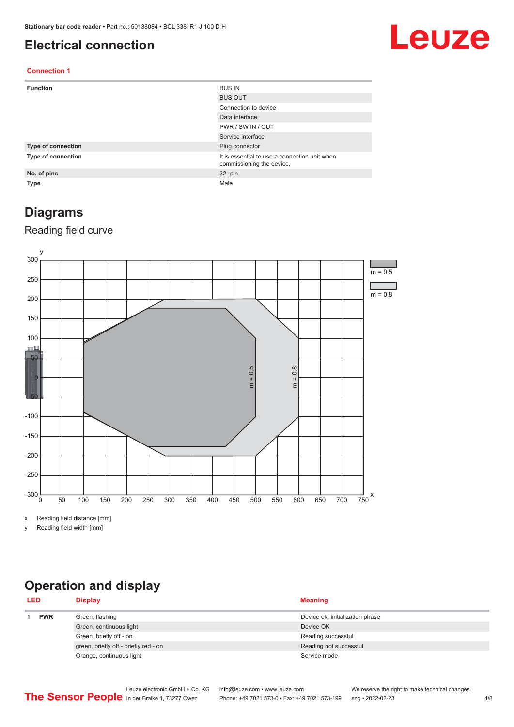#### <span id="page-3-0"></span>**Electrical connection**

## Leuze

#### **Connection 1**

| <b>Function</b>           | <b>BUS IN</b>                                                              |
|---------------------------|----------------------------------------------------------------------------|
|                           | <b>BUS OUT</b>                                                             |
|                           | Connection to device                                                       |
|                           | Data interface                                                             |
|                           | PWR / SW IN / OUT                                                          |
|                           | Service interface                                                          |
| <b>Type of connection</b> | Plug connector                                                             |
| Type of connection        | It is essential to use a connection unit when<br>commissioning the device. |
| No. of pins               | $32 - pin$                                                                 |
| <b>Type</b>               | Male                                                                       |

#### **Diagrams**

#### Reading field curve



x Reading field distance [mm]

y Reading field width [mm]

### **Operation and display**

| <b>LED</b> |            | <b>Display</b>                        | <b>Meaning</b>                  |
|------------|------------|---------------------------------------|---------------------------------|
|            | <b>PWR</b> | Green, flashing                       | Device ok, initialization phase |
|            |            | Green, continuous light               | Device OK                       |
|            |            | Green, briefly off - on               | Reading successful              |
|            |            | green, briefly off - briefly red - on | Reading not successful          |
|            |            | Orange, continuous light              | Service mode                    |
|            |            |                                       |                                 |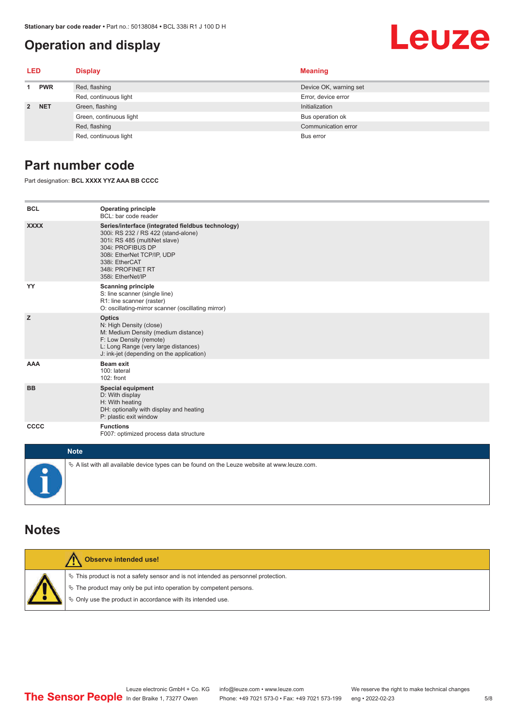#### <span id="page-4-0"></span>**Operation and display**

## Leuze

| LED         |            | <b>Display</b>          | <b>Meaning</b>         |
|-------------|------------|-------------------------|------------------------|
|             | <b>PWR</b> | Red, flashing           | Device OK, warning set |
|             |            | Red, continuous light   | Error, device error    |
| $2^{\circ}$ | <b>NET</b> | Green, flashing         | Initialization         |
|             |            | Green, continuous light | Bus operation ok       |
|             |            | Red, flashing           | Communication error    |
|             |            | Red, continuous light   | Bus error              |

#### **Part number code**

Part designation: **BCL XXXX YYZ AAA BB CCCC**

| <b>BCL</b>         | <b>Operating principle</b><br>BCL: bar code reader                                                                                                                                                                                       |
|--------------------|------------------------------------------------------------------------------------------------------------------------------------------------------------------------------------------------------------------------------------------|
| <b>XXXX</b>        | Series/interface (integrated fieldbus technology)<br>300i: RS 232 / RS 422 (stand-alone)<br>301i: RS 485 (multiNet slave)<br>304i: PROFIBUS DP<br>308i: EtherNet TCP/IP, UDP<br>338i: EtherCAT<br>348i: PROFINET RT<br>358i: EtherNet/IP |
| YY                 | <b>Scanning principle</b><br>S: line scanner (single line)<br>R1: line scanner (raster)<br>O: oscillating-mirror scanner (oscillating mirror)                                                                                            |
| z                  | <b>Optics</b><br>N: High Density (close)<br>M: Medium Density (medium distance)<br>F: Low Density (remote)<br>L: Long Range (very large distances)<br>J: ink-jet (depending on the application)                                          |
| <b>AAA</b>         | <b>Beam exit</b><br>100: lateral<br>102: front                                                                                                                                                                                           |
| <b>BB</b>          | <b>Special equipment</b><br>D: With display<br>H: With heating<br>DH: optionally with display and heating<br>P: plastic exit window                                                                                                      |
| CCCC               | <b>Functions</b><br>F007: optimized process data structure                                                                                                                                                                               |
| <b>Sales State</b> |                                                                                                                                                                                                                                          |

| <b>Note</b>                                                                                       |
|---------------------------------------------------------------------------------------------------|
| Vector A list with all available device types can be found on the Leuze website at www.leuze.com. |

#### **Notes**

| Observe intended use!                                                                                                                                                                                                      |
|----------------------------------------------------------------------------------------------------------------------------------------------------------------------------------------------------------------------------|
| $\%$ This product is not a safety sensor and is not intended as personnel protection.<br>↓ The product may only be put into operation by competent persons.<br>♦ Only use the product in accordance with its intended use. |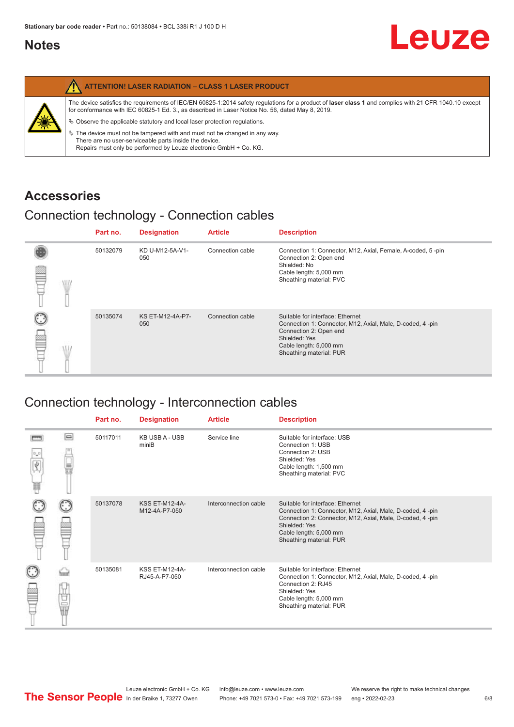#### <span id="page-5-0"></span>**Notes**

|   | <b>ATTENTION! LASER RADIATION - CLASS 1 LASER PRODUCT</b>                                                                                                                                                                                                                                                                                                                                                                                                                                                                                                   |
|---|-------------------------------------------------------------------------------------------------------------------------------------------------------------------------------------------------------------------------------------------------------------------------------------------------------------------------------------------------------------------------------------------------------------------------------------------------------------------------------------------------------------------------------------------------------------|
| 纂 | The device satisfies the requirements of IEC/EN 60825-1:2014 safety requlations for a product of laser class 1 and complies with 21 CFR 1040.10 except<br>for conformance with IEC 60825-1 Ed. 3., as described in Laser Notice No. 56, dated May 8, 2019.<br>$\&$ Observe the applicable statutory and local laser protection regulations.<br>$\%$ The device must not be tampered with and must not be changed in any way.<br>There are no user-serviceable parts inside the device.<br>Repairs must only be performed by Leuze electronic GmbH + Co. KG. |

#### **Accessories**

#### Connection technology - Connection cables

|   |   | Part no. | <b>Designation</b>      | <b>Article</b>   | <b>Description</b>                                                                                                                                                                            |
|---|---|----------|-------------------------|------------------|-----------------------------------------------------------------------------------------------------------------------------------------------------------------------------------------------|
| ≌ | W | 50132079 | KD U-M12-5A-V1-<br>050  | Connection cable | Connection 1: Connector, M12, Axial, Female, A-coded, 5-pin<br>Connection 2: Open end<br>Shielded: No<br>Cable length: 5,000 mm<br>Sheathing material: PVC                                    |
|   |   | 50135074 | KS ET-M12-4A-P7-<br>050 | Connection cable | Suitable for interface: Ethernet<br>Connection 1: Connector, M12, Axial, Male, D-coded, 4-pin<br>Connection 2: Open end<br>Shielded: Yes<br>Cable length: 5,000 mm<br>Sheathing material: PUR |

#### Connection technology - Interconnection cables

|                           |                                                                                                                                                                                                                                | Part no. | <b>Designation</b>                     | <b>Article</b>        | <b>Description</b>                                                                                                                                                                                                               |
|---------------------------|--------------------------------------------------------------------------------------------------------------------------------------------------------------------------------------------------------------------------------|----------|----------------------------------------|-----------------------|----------------------------------------------------------------------------------------------------------------------------------------------------------------------------------------------------------------------------------|
| $\frac{1}{\sqrt{2}}$<br>Ħ | $\Box$                                                                                                                                                                                                                         | 50117011 | <b>KB USB A - USB</b><br>miniB         | Service line          | Suitable for interface: USB<br>Connection 1: USB<br>Connection 2: USB<br>Shielded: Yes<br>Cable length: 1,500 mm<br>Sheathing material: PVC                                                                                      |
|                           |                                                                                                                                                                                                                                | 50137078 | <b>KSS ET-M12-4A-</b><br>M12-4A-P7-050 | Interconnection cable | Suitable for interface: Ethernet<br>Connection 1: Connector, M12, Axial, Male, D-coded, 4-pin<br>Connection 2: Connector, M12, Axial, Male, D-coded, 4-pin<br>Shielded: Yes<br>Cable length: 5,000 mm<br>Sheathing material: PUR |
|                           | the filled the control in the control in the control in the control in the control in the control in the control in the control in the control in the control in the control in the control in the control in the control in t | 50135081 | <b>KSS ET-M12-4A-</b><br>RJ45-A-P7-050 | Interconnection cable | Suitable for interface: Ethernet<br>Connection 1: Connector, M12, Axial, Male, D-coded, 4-pin<br>Connection 2: RJ45<br>Shielded: Yes<br>Cable length: 5,000 mm<br>Sheathing material: PUR                                        |

Leuze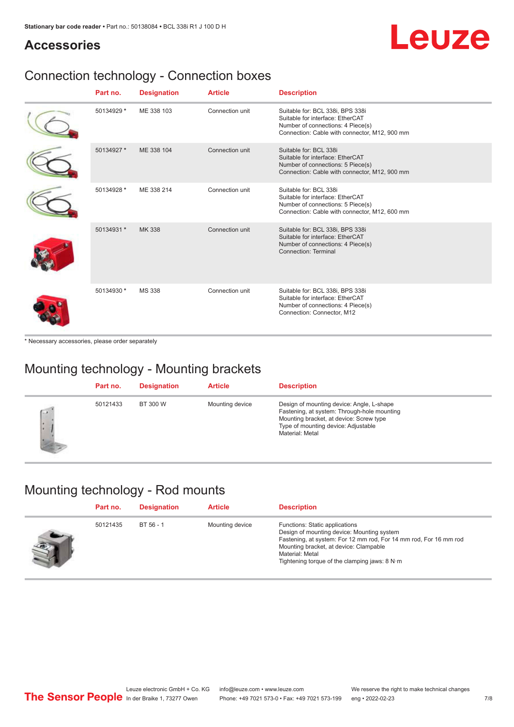## Leuze

#### **Accessories**

### Connection technology - Connection boxes

| Part no.   | <b>Designation</b> | <b>Article</b>  | <b>Description</b>                                                                                                                                         |
|------------|--------------------|-----------------|------------------------------------------------------------------------------------------------------------------------------------------------------------|
| 50134929 * | ME 338 103         | Connection unit | Suitable for: BCL 338i, BPS 338i<br>Suitable for interface: EtherCAT<br>Number of connections: 4 Piece(s)<br>Connection: Cable with connector, M12, 900 mm |
| 50134927 * | ME 338 104         | Connection unit | Suitable for: BCL 338i<br>Suitable for interface: EtherCAT<br>Number of connections: 5 Piece(s)<br>Connection: Cable with connector, M12, 900 mm           |
| 50134928 * | ME 338 214         | Connection unit | Suitable for: BCL 338i<br>Suitable for interface: EtherCAT<br>Number of connections: 5 Piece(s)<br>Connection: Cable with connector, M12, 600 mm           |
| 50134931 * | MK 338             | Connection unit | Suitable for: BCL 338i, BPS 338i<br>Suitable for interface: EtherCAT<br>Number of connections: 4 Piece(s)<br>Connection: Terminal                          |
| 50134930 * | <b>MS 338</b>      | Connection unit | Suitable for: BCL 338i, BPS 338i<br>Suitable for interface: EtherCAT<br>Number of connections: 4 Piece(s)<br>Connection: Connector, M12                    |

\* Necessary accessories, please order separately

#### Mounting technology - Mounting brackets

|              | Part no. | <b>Designation</b> | <b>Article</b>  | <b>Description</b>                                                                                                                                                                            |
|--------------|----------|--------------------|-----------------|-----------------------------------------------------------------------------------------------------------------------------------------------------------------------------------------------|
| $\sim$<br>ı. | 50121433 | BT 300 W           | Mounting device | Design of mounting device: Angle, L-shape<br>Fastening, at system: Through-hole mounting<br>Mounting bracket, at device: Screw type<br>Type of mounting device: Adjustable<br>Material: Metal |

#### Mounting technology - Rod mounts

| Part no. | <b>Designation</b> | <b>Article</b>  | <b>Description</b>                                                                                                                                                                                                                                                |
|----------|--------------------|-----------------|-------------------------------------------------------------------------------------------------------------------------------------------------------------------------------------------------------------------------------------------------------------------|
| 50121435 | BT 56 - 1          | Mounting device | Functions: Static applications<br>Design of mounting device: Mounting system<br>Fastening, at system: For 12 mm rod, For 14 mm rod, For 16 mm rod<br>Mounting bracket, at device: Clampable<br>Material: Metal<br>Tightening torque of the clamping jaws: $8 N·m$ |